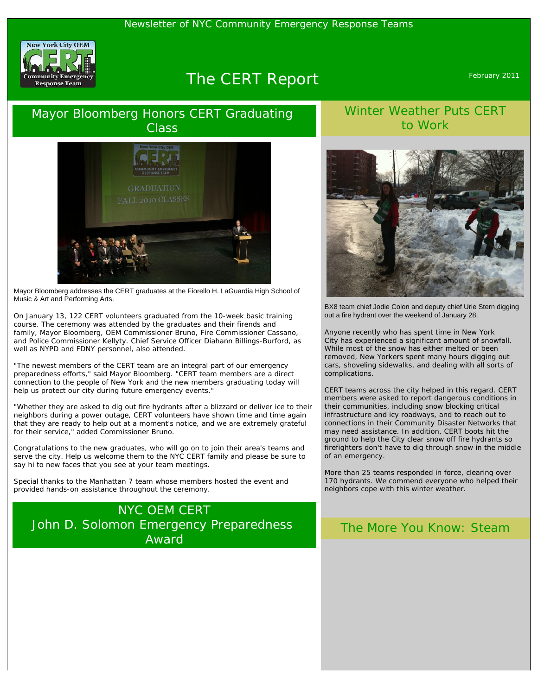#### Newsletter of NYC Community Emergency Response Teams



# The CERT Report February 2011

## Mayor Bloomberg Honors CERT Graduating **Class**



Mayor Bloomberg addresses the CERT graduates at the Fiorello H. LaGuardia High School of Music & Art and Performing Arts.

On January 13, 122 CERT volunteers graduated from the 10-week basic training course. The ceremony was attended by the graduates and their firends and family, Mayor Bloomberg, OEM Commissioner Bruno, Fire Commissioner Cassano, and Police Commissioner Kellyty. Chief Service Officer Diahann Billings-Burford, as well as NYPD and FDNY personnel, also attended.

"The newest members of the CERT team are an integral part of our emergency preparedness efforts," said Mayor Bloomberg. "CERT team members are a direct connection to the people of New York and the new members graduating today will help us protect our city during future emergency events."

"Whether they are asked to dig out fire hydrants after a blizzard or deliver ice to their neighbors during a power outage, CERT volunteers have shown time and time again that they are ready to help out at a moment's notice, and we are extremely grateful for their service," added Commissioner Bruno.

Congratulations to the new graduates, who will go on to join their area's teams and serve the city. Help us welcome them to the NYC CERT family and please be sure to say hi to new faces that you see at your team meetings.

*Special thanks to the Manhattan 7 team whose members hosted the event and provided hands-on assistance throughout the ceremony.*

## NYC OEM CERT John D. Solomon Emergency Preparedness Award

### Winter Weather Puts CERT to Work



BX8 team chief Jodie Colon and deputy chief Urie Stern digging out a fire hydrant over the weekend of January 28.

Anyone recently who has spent time in New York City has experienced a significant amount of snowfall. While most of the snow has either melted or been removed, New Yorkers spent many hours digging out cars, shoveling sidewalks, and dealing with all sorts of complications.

CERT teams across the city helped in this regard. CERT members were asked to report dangerous conditions in their communities, including snow blocking critical infrastructure and icy roadways, and to reach out to connections in their Community Disaster Networks that may need assistance. In addition, CERT boots hit the ground to help the City clear snow off fire hydrants so firefighters don't have to dig through snow in the middle of an emergency.

More than 25 teams responded in force, clearing over 170 hydrants. We commend everyone who helped their neighbors cope with this winter weather.

#### The More You Know: Steam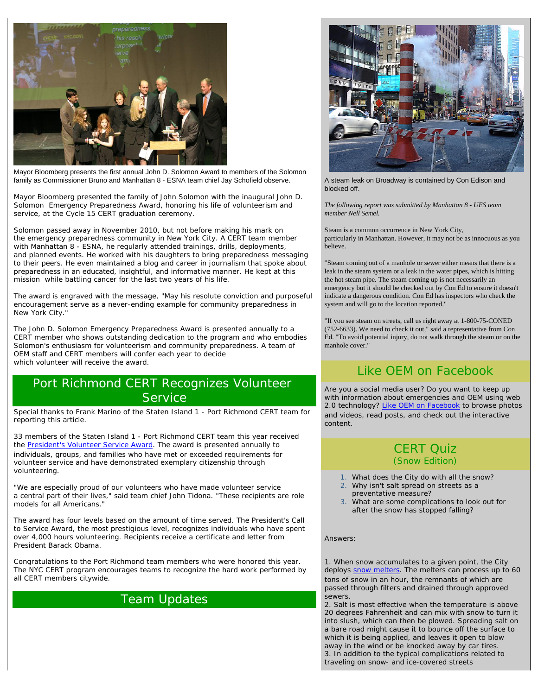

Mayor Bloomberg presents the first annual John D. Solomon Award to members of the Solomon family as Commissioner Bruno and Manhattan 8 - ESNA team chief Jay Schofield observe.

Mayor Bloomberg presented the family of John Solomon with the inaugural John D. Solomon Emergency Preparedness Award, honoring his life of volunteerism and service, at the Cycle 15 CERT graduation ceremony.

Solomon passed away in November 2010, but not before making his mark on the emergency preparedness community in New York City. A CERT team member with Manhattan 8 - ESNA, he regularly attended trainings, drills, deployments, and planned events. He worked with his daughters to bring preparedness messaging to their peers. He even maintained a blog and career in journalism that spoke about preparedness in an educated, insightful, and informative manner. He kept at this mission while battling cancer for the last two years of his life.

The award is engraved with the message, "May his resolute conviction and purposeful encouragement serve as a never-ending example for community preparedness in New York City."

The John D. Solomon Emergency Preparedness Award is presented annually to a CERT member who shows outstanding dedication to the program and who embodies Solomon's enthusiasm for volunteerism and community preparedness. A team of OEM staff and CERT members will confer each year to decide which volunteer will receive the award.

### Port Richmond CERT Recognizes Volunteer **Service**

*Special thanks to Frank Marino of the Staten Island 1 - Port Richmond CERT team for reporting this article.*

33 members of the Staten Island 1 - Port Richmond CERT team this year received the [President's Volunteer Service Award.](http://www.presidentialserviceawards.gov/) The award is presented annually to individuals, groups, and families who have met or exceeded requirements for volunteer service and have demonstrated exemplary citizenship through volunteering.

"We are especially proud of our volunteers who have made volunteer service a central part of their lives," said team chief John Tidona. "These recipients are role models for all Americans."

The award has four levels based on the amount of time served. The President's Call to Service Award, the most prestigious level, recognizes individuals who have spent over 4,000 hours volunteering. Recipients receive a certificate and letter from President Barack Obama.

Congratulations to the Port Richmond team members who were honored this year. The NYC CERT program encourages teams to recognize the hard work performed by all CERT members citywide.

## Team Updates



A steam leak on Broadway is contained by Con Edison and blocked off.

*The following report was submitted by Manhattan 8 - UES team member Nell Semel.*

Steam is a common occurrence in New York City, particularly in Manhattan. However, it may not be as innocuous as you believe.

"Steam coming out of a manhole or sewer either means that there is a leak in the steam system or a leak in the water pipes, which is hitting the hot steam pipe. The steam coming up is not necessarily an emergency but it should be checked out by Con Ed to ensure it doesn't indicate a dangerous condition. Con Ed has inspectors who check the system and will go to the location reported."

"If you see steam on streets, call us right away at 1-800-75-CONED (752-6633). We need to check it out," said a representative from Con Ed. "To avoid potential injury, do not walk through the steam or on the manhole cover."

## Like OEM on Facebook

Are you a social media user? Do you want to keep up with information about emergencies and OEM using web 2.0 technology? [Like OEM on Facebook](http://www.facebook.com/nycemergencymanagement) to browse photos and videos, read posts, and check out the interactive content.

#### CERT Quiz (Snow Edition)

- What does the City do with all the snow?
- 2. Why isn't salt spread on streets as a preventative measure?
- 3. What are some complications to look out for after the snow has stopped falling?

Answers:

*1. When snow accumulates to a given point, the City deploys [snow melters.](http://www.nyc.gov/html/dsny/html/about/equipment.shtml) The melters can process up to 60 tons of snow in an hour, the remnants of which are passed through filters and drained through approved sewers.* 

*2. Salt is most effective when the temperature is above 20 degrees Fahrenheit and can mix with snow to turn it into slush, which can then be plowed. Spreading salt on a bare road might cause it to bounce off the surface to which it is being applied, and leaves it open to blow away in the wind or be knocked away by car tires. 3. In addition to the typical complications related to traveling on snow- and ice-covered streets*